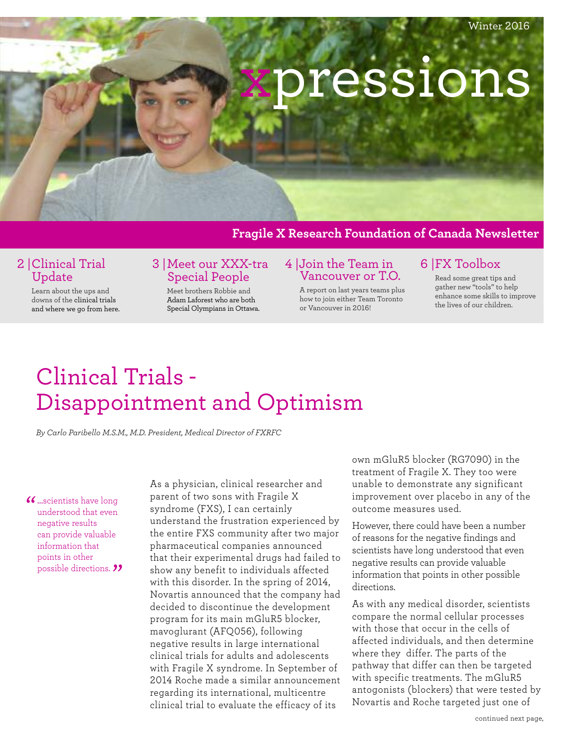

### **Fragile X Research Foundation of Canada Newsletter**

### 2 |Clinical Trial Update

Learn about the ups and downs of the clinical trials and where we go from here.

### 3 |Meet our XXX-tra Special People

Meet brothers Robbie and Adam Laforest who are both Special Olympians in Ottawa.

#### 4 |Join the Team in Vancouver or T.O.

A report on last years teams plus how to join either Team Toronto or Vancouver in 2016!

## 6 |FX Toolbox

Read some great tips and gather new "tools" to help enhance some skills to improve the lives of our children.

# Clinical Trials - Disappointment and Optimism

*By Carlo Paribello M.S.M., M.D. President, Medical Director of FXRFC*

### C ... scientists have long<br>understood that even possible directions. 22 understood that even negative results can provide valuable information that points in other

As a physician, clinical researcher and parent of two sons with Fragile X syndrome (FXS), I can certainly understand the frustration experienced by the entire FXS community after two major pharmaceutical companies announced that their experimental drugs had failed to show any benefit to individuals affected with this disorder. In the spring of 2014, Novartis announced that the company had decided to discontinue the development program for its main mGluR5 blocker, mavoglurant (AFQ056), following negative results in large international clinical trials for adults and adolescents with Fragile X syndrome. In September of 2014 Roche made a similar announcement regarding its international, multicentre clinical trial to evaluate the efficacy of its

own mGluR5 blocker (RG7090) in the treatment of Fragile X. They too were unable to demonstrate any significant improvement over placebo in any of the outcome measures used.

However, there could have been a number of reasons for the negative findings and scientists have long understood that even negative results can provide valuable information that points in other possible directions.

As with any medical disorder, scientists compare the normal cellular processes with those that occur in the cells of affected individuals, and then determine where they differ. The parts of the pathway that differ can then be targeted with specific treatments. The mGluR5 antogonists (blockers) that were tested by Novartis and Roche targeted just one of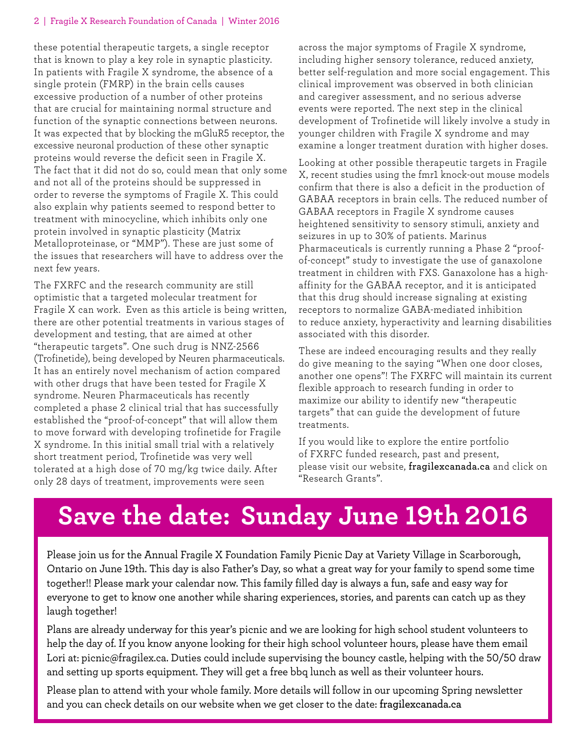### 2 | Fragile X Research Foundation of Canada | Winter 2016

these potential therapeutic targets, a single receptor that is known to play a key role in synaptic plasticity. In patients with Fragile X syndrome, the absence of a single protein (FMRP) in the brain cells causes excessive production of a number of other proteins that are crucial for maintaining normal structure and function of the synaptic connections between neurons. It was expected that by blocking the mGluR5 receptor, the excessive neuronal production of these other synaptic proteins would reverse the deficit seen in Fragile X. The fact that it did not do so, could mean that only some and not all of the proteins should be suppressed in order to reverse the symptoms of Fragile X. This could also explain why patients seemed to respond better to treatment with minocycline, which inhibits only one protein involved in synaptic plasticity (Matrix Metalloproteinase, or "MMP"). These are just some of the issues that researchers will have to address over the next few years.

The FXRFC and the research community are still optimistic that a targeted molecular treatment for Fragile X can work. Even as this article is being written, there are other potential treatments in various stages of development and testing, that are aimed at other "therapeutic targets". One such drug is NNZ-2566 (Trofinetide), being developed by Neuren pharmaceuticals. It has an entirely novel mechanism of action compared with other drugs that have been tested for Fragile X syndrome. Neuren Pharmaceuticals has recently completed a phase 2 clinical trial that has successfully established the "proof-of-concept" that will allow them to move forward with developing trofinetide for Fragile X syndrome. In this initial small trial with a relatively short treatment period, Trofinetide was very well tolerated at a high dose of 70 mg/kg twice daily. After only 28 days of treatment, improvements were seen

across the major symptoms of Fragile X syndrome, including higher sensory tolerance, reduced anxiety, better self-regulation and more social engagement. This clinical improvement was observed in both clinician and caregiver assessment, and no serious adverse events were reported. The next step in the clinical development of Trofinetide will likely involve a study in younger children with Fragile X syndrome and may examine a longer treatment duration with higher doses.

Looking at other possible therapeutic targets in Fragile X, recent studies using the fmr1 knock-out mouse models confirm that there is also a deficit in the production of GABAA receptors in brain cells. The reduced number of GABAA receptors in Fragile X syndrome causes heightened sensitivity to sensory stimuli, anxiety and seizures in up to 30% of patients. Marinus Pharmaceuticals is currently running a Phase 2 "proofof-concept" study to investigate the use of ganaxolone treatment in children with FXS. Ganaxolone has a highaffinity for the GABAA receptor, and it is anticipated that this drug should increase signaling at existing receptors to normalize GABA-mediated inhibition to reduce anxiety, hyperactivity and learning disabilities associated with this disorder.

These are indeed encouraging results and they really do give meaning to the saying "When one door closes, another one opens"! The FXRFC will maintain its current flexible approach to research funding in order to maximize our ability to identify new "therapeutic targets" that can guide the development of future treatments.

If you would like to explore the entire portfolio of FXRFC funded research, past and present, please visit our website, **fragilexcanada.ca** and click on "Research Grants".

# **Save the date: Sunday June 19th 2016**

Please join us for the Annual Fragile X Foundation Family Picnic Day at Variety Village in Scarborough, Ontario on June 19th. This day is also Father's Day, so what a great way for your family to spend some time together!! Please mark your calendar now. This family filled day is always a fun, safe and easy way for everyone to get to know one another while sharing experiences, stories, and parents can catch up as they laugh together!

Plans are already underway for this year's picnic and we are looking for high school student volunteers to help the day of. If you know anyone looking for their high school volunteer hours, please have them email Lori at: picnic@fragilex.ca. Duties could include supervising the bouncy castle, helping with the 50/50 draw and setting up sports equipment. They will get a free bbq lunch as well as their volunteer hours.

Please plan to attend with your whole family. More details will follow in our upcoming Spring newsletter and you can check details on our website when we get closer to the date: **fragilexcanada.ca**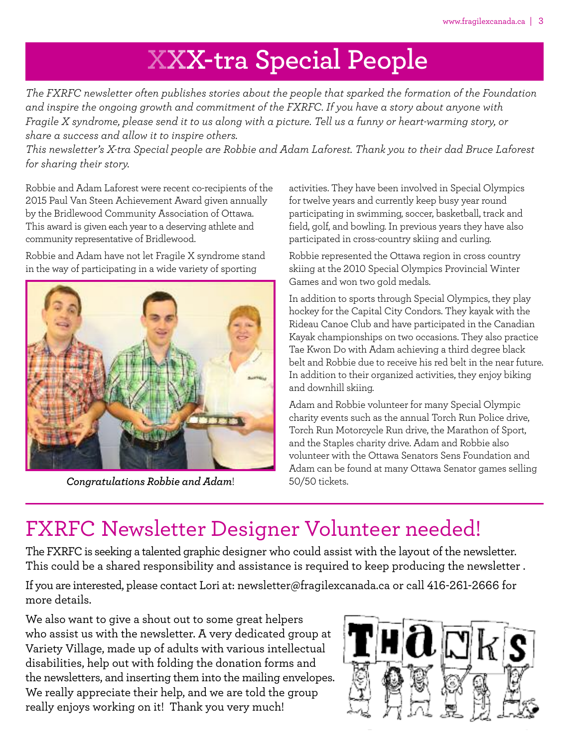# **XXX-tra Special People**

*The FXRFC newsletter often publishes stories about the people that sparked the formation of the Foundation and inspire the ongoing growth and commitment of the FXRFC. If you have a story about anyone with* Fragile X syndrome, please send it to us along with a picture. Tell us a funny or heart-warming story, or *share a success and allow it to inspire others.*

This newsletter's X-tra Special people are Robbie and Adam Laforest. Thank you to their dad Bruce Laforest *for sharing their story.*

Robbie and Adam Laforest were recent co-recipients of the 2015 Paul Van Steen Achievement Award given annually by the Bridlewood Community Association of Ottawa. This award is given each year to a deserving athlete and community representative of Bridlewood.

Robbie and Adam have not let Fragile X syndrome stand in the way of participating in a wide variety of sporting



*Congratulations Robbie and Adam*!

activities. They have been involved in Special Olympics for twelve years and currently keep busy year round participating in swimming, soccer, basketball, track and field, golf, and bowling. In previous years they have also participated in cross-country skiing and curling.

Robbie represented the Ottawa region in cross country skiing at the 2010 Special Olympics Provincial Winter Games and won two gold medals.

In addition to sports through Special Olympics, they play hockey for the Capital City Condors. They kayak with the Rideau Canoe Club and have participated in the Canadian Kayak championships on two occasions. They also practice Tae Kwon Do with Adam achieving a third degree black belt and Robbie due to receive his red belt in the near future. In addition to their organized activities, they enjoy biking and downhill skiing.

Adam and Robbie volunteer for many Special Olympic charity events such as the annual Torch Run Police drive, Torch Run Motorcycle Run drive, the Marathon of Sport, and the Staples charity drive. Adam and Robbie also volunteer with the Ottawa Senators Sens Foundation and Adam can be found at many Ottawa Senator games selling 50/50 tickets.

# FXRFC Newsletter Designer Volunteer needed!

The FXRFC is seeking a talented graphic designer who could assist with the layout of the newsletter. This could be a shared responsibility and assistance is required to keep producing the newsletter .

If you are interested, please contact Lori at: newsletter@fragilexcanada.ca or call 416-261-2666 for more details.

We also want to give a shout out to some great helpers who assist us with the newsletter. A very dedicated group at Variety Village, made up of adults with various intellectual disabilities, help out with folding the donation forms and the newsletters, and inserting them into the mailing envelopes. We really appreciate their help, and we are told the group really enjoys working on it! Thank you very much!

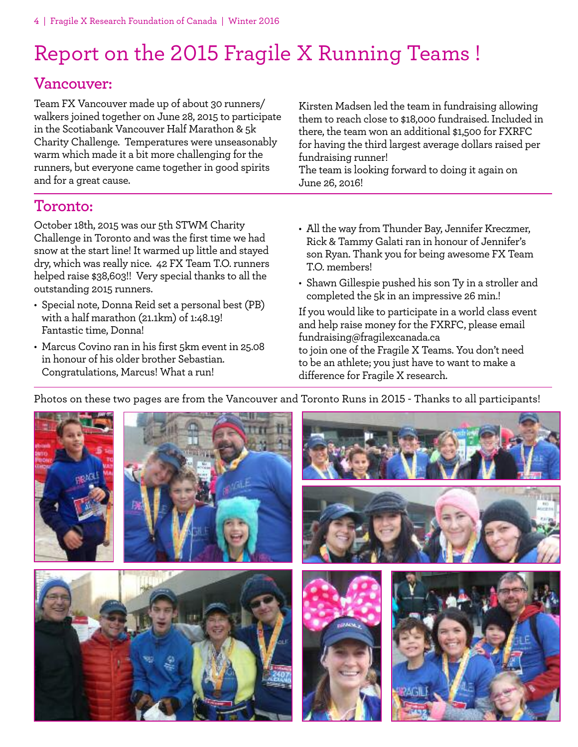# Report on the 2015 Fragile X Running Teams !

## **Vancouver:**

Team FX Vancouver made up of about 30 runners/ walkers joined together on June 28, 2015 to participate in the Scotiabank Vancouver Half Marathon & 5k Charity Challenge. Temperatures were unseasonably warm which made it a bit more challenging for the runners, but everyone came together in good spirits and for a great cause.

Kirsten Madsen led the team in fundraising allowing them to reach close to \$18,000 fundraised. Included in there, the team won an additional \$1,500 for FXRFC for having the third largest average dollars raised per fundraising runner!

The team is looking forward to doing it again on June 26, 2016!

## **Toronto:**

October 18th, 2015 was our 5th STWM Charity Challenge in Toronto and was the first time we had snow at the start line! It warmed up little and stayed dry, which was really nice. 42 FX Team T.O. runners helped raise \$38,603!! Very special thanks to all the outstanding 2015 runners.

- Special note, Donna Reid set a personal best (PB) with a half marathon (21.1km) of 1:48.19! Fantastic time, Donna!
- Marcus Covino ran in his first 5km event in 25.08 in honour of his older brother Sebastian. Congratulations, Marcus! What a run!
- All the way from Thunder Bay, Jennifer Kreczmer, Rick & Tammy Galati ran in honour of Jennifer's son Ryan. Thank you for being awesome FX Team T.O. members!
- Shawn Gillespie pushed his son Ty in a stroller and completed the 5k in an impressive 26 min.!

If you would like to participate in a world class event and help raise money for the FXRFC, please email fundraising@fragilexcanada.ca to join one of the Fragile X Teams. You don't need to be an athlete; you just have to want to make a difference for Fragile X research.

Photos on these two pages are from the Vancouver and Toronto Runs in 2015 - Thanks to all participants!

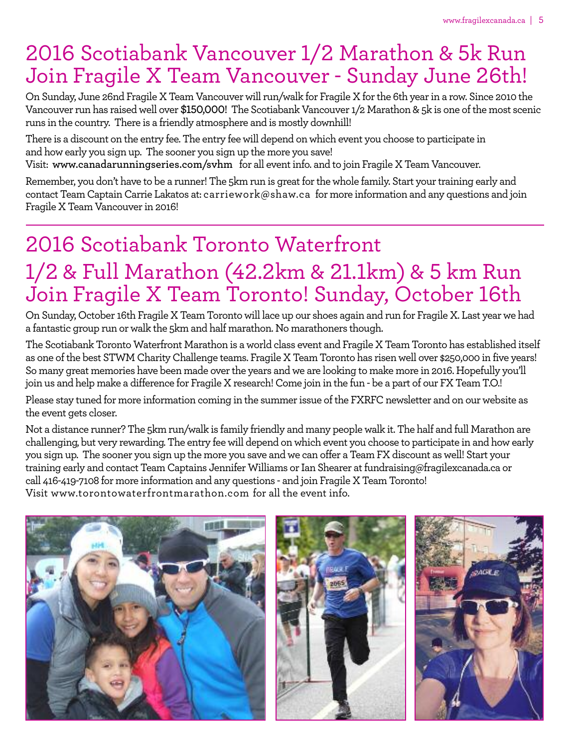# 2016 Scotiabank Vancouver 1/2 Marathon & 5k Run Join Fragile X Team Vancouver - Sunday June 26th!

On Sunday, June 26nd Fragile X Team Vancouver will run/walk for Fragile X for the 6th year in a row. Since 2010 the Vancouver run has raised well over \$150,000! The Scotiabank Vancouver 1/2 Marathon & 5k is one of the most scenic runs in the country. There is a friendly atmosphere and is mostly downhill!

There is a discount on the entry fee. The entry fee will depend on which event you choose to participate in and howearly you sign up. The sooner you sign up the more you save!

Visit: **www.canadarunningseries.com/svhm** for all eventinfo. and to join Fragile X Team Vancouver.

Remember, you don't have to be a runner! The 5km run is great for the whole family. Start your training early and contact Team Captain Carrie Lakatos at: carriework@shaw.ca for more information and any questions and join Fragile X Team Vancouver in 2016!

# 2016 Scotiabank Toronto Waterfront 1/2 & Full Marathon (42.2km & 21.1km) & 5 km Run Join Fragile X Team Toronto! Sunday, October 16th

On Sunday, October 16th Fragile X Team Toronto will lace up our shoes again and run for Fragile X. Last year we had a fantastic group run or walk the 5km and half marathon. No marathoners though.

The Scotiabank TorontoWaterfront Marathon is aworld class event and Fragile X Team Toronto has established itself as one of the best STWM Charity Challenge teams. Fragile X Team Toronto has risen well over \$250,000 in five years! So many great memories have been made over the years and we are looking to make more in 2016. Hopefully you'll join us and help make a difference for Fragile X research! Come join in the fun - be a part of our FX Team T.O.!

Please stay tuned for more information coming in the summer issue of the FXRFC newsletter and on our website as the event gets closer.

Not a distance runner? The 5km run/walk is family friendly and many peoplewalk it. The half and full Marathon are challenging, but very rewarding. The entry feewill depend onwhich event you choose to participate in and howearly you sign up. The sooner you sign up the more you save and we can offer a Team FX discount as well! Start your training early and contact Team Captains Jennifer Williams or Ian Shearer at fundraising@fragilexcanada.ca or call 416-419-7108 for more information and any questions - and join Fragile X Team Toronto! Visit www.torontowaterfrontmarathon.com for all the event info.

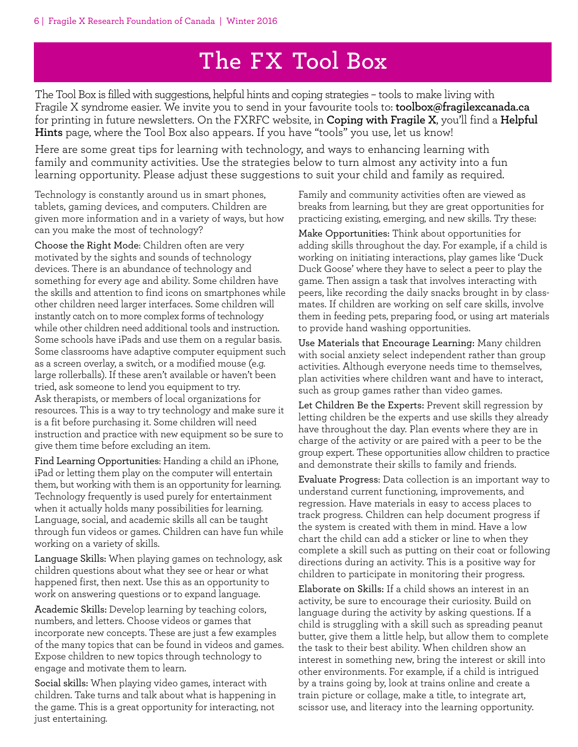# **The FX Tool Box**

The Tool Box is filled with suggestions, helpful hints and coping strategies – tools to make living with Fragile X syndrome easier. We invite you to send in your favourite tools to: **toolbox@fragilexcanada.ca** for printing in future newsletters. On the FXRFC website, in **Coping with Fragile X**, you'll find a **Helpful Hints** page, where the Tool Box also appears. If you have "tools" you use, let us know!

Here are some great tips for learning with technology, and ways to enhancing learning with family and community activities. Use the strategies below to turn almost any activity into a fun learning opportunity. Please adjust these suggestions to suit your child and family as required.

Technology is constantly around us in smart phones, tablets, gaming devices, and computers. Children are given more information and in a variety of ways, but how can you make the most of technology?

Choose the Right Mode: Children often are very motivated by the sights and sounds of technology devices. There is an abundance of technology and something for every age and ability. Some children have the skills and attention to find icons on smartphones while other children need larger interfaces. Some children will instantly catch on to more complex forms of technology while other children need additional tools and instruction. Some schools have iPads and use them on a regular basis. Some classrooms have adaptive computer equipment such as a screen overlay, a switch, or a modified mouse (e.g. large rollerballs). If these aren't available or haven't been tried, ask someone to lend you equipment to try. Ask therapists, or members of local organizations for resources. This is a way to try technology and make sure it is a fit before purchasing it. Some children will need instruction and practice with new equipment so be sure to give them time before excluding an item.

Find Learning Opportunities: Handing a child an iPhone, iPad or letting them play on the computer will entertain them, but working with them is an opportunity for learning. Technology frequently is used purely for entertainment when it actually holds many possibilities for learning. Language, social, and academic skills all can be taught through fun videos or games. Children can have fun while working on a variety of skills.

Language Skills: When playing games on technology, ask children questions about what they see or hear or what happened first, then next. Use this as an opportunity to work on answering questions or to expand language.

Academic Skills: Develop learning by teaching colors, numbers, and letters. Choose videos or games that incorporate new concepts. These are just a few examples of the many topics that can be found in videos and games. Expose children to new topics through technology to engage and motivate them to learn.

Social skills: When playing video games, interact with children. Take turns and talk about what is happening in the game. This is a great opportunity for interacting, not just entertaining.

Family and community activities often are viewed as breaks from learning, but they are great opportunities for practicing existing, emerging, and new skills. Try these:

Make Opportunities: Think about opportunities for adding skills throughout the day. For example, if a child is working on initiating interactions, play games like 'Duck Duck Goose' where they have to select a peer to play the game. Then assign a task that involves interacting with peers, like recording the daily snacks brought in by classmates. If children are working on self care skills, involve them in feeding pets, preparing food, or using art materials to provide hand washing opportunities.

Use Materials that Encourage Learning: Many children with social anxiety select independent rather than group activities. Although everyone needs time to themselves, plan activities where children want and have to interact, such as group games rather than video games.

Let Children Be the Experts: Prevent skill regression by letting children be the experts and use skills they already have throughout the day. Plan events where they are in charge of the activity or are paired with a peer to be the group expert. These opportunities allow children to practice and demonstrate their skills to family and friends.

Evaluate Progress: Data collection is an important way to understand current functioning, improvements, and regression. Have materials in easy to access places to track progress. Children can help document progress if the system is created with them in mind. Have a low chart the child can add a sticker or line to when they complete a skill such as putting on their coat or following directions during an activity. This is a positive way for children to participate in monitoring their progress.

Elaborate on Skills: If a child shows an interest in an activity, be sure to encourage their curiosity. Build on language during the activity by asking questions. If a child is struggling with a skill such as spreading peanut butter, give them a little help, but allow them to complete the task to their best ability. When children show an interest in something new, bring the interest or skill into other environments. For example, if a child is intrigued by a trains going by, look at trains online and create a train picture or collage, make a title, to integrate art, scissor use, and literacy into the learning opportunity.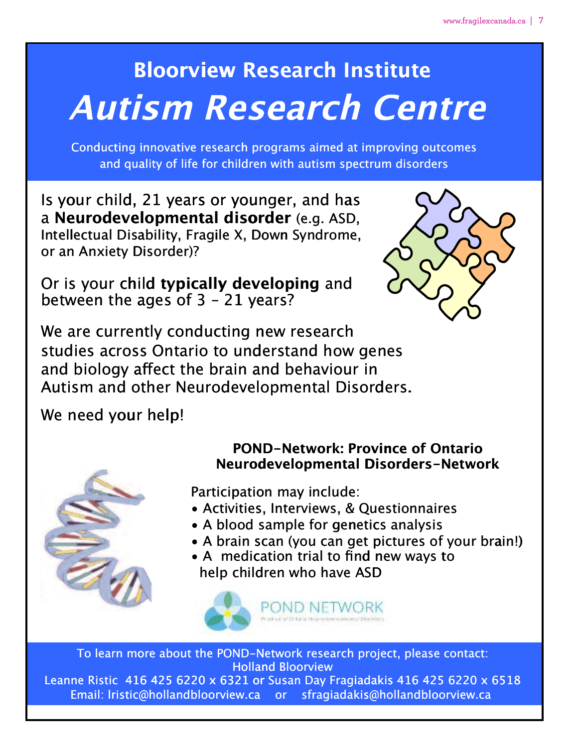# **Bloorview Research Institute**

# **Autism Research Centre Autism tism Resear search Cen**

Conducting innovative research programs aimed at improving outcomes lucting innovative research programs aimed at improving outc<br>and quality of life for children with autism spectrum disorders

Is your child, 21 years or younger, and has a **Neurodevelopmental disorder** (e.g. ASD, **Neurodevel elopmental order** (e.g. ASD, Intellectual Disability, Fragile X, Down Syndrome, or an Anxiety Disorder)? or an Anxiety Di

Or is your child **typically developing** and between the ages of 3 – 21 years? between the a ages of 3 – 21 ye between the ages of 3 - 21 years?<br>We are currently conducting new research



studies across Ontario to understand how genes studies acros s Ontario to und derstand how ge nes and biology affect the brain and behaviour in

We need your help!



# Autism and other Neurodevelopmental Disorders.<br>
We need your help!<br>
POND-Network: Province only are allowed by the Meurodevelopmental Disorde<br>
Participation may include: **POND-Network: Province of Ontario Neurodevelopmental Disorders-Network**

Participation may include:

- Activities, Interviews, & Questionnaires
- A blood sample for genetics analysis
- A brain scan (you can get pictures of your brain!)
- A medication trial to find new ways to help children who have ASD help child s, Interviews, & Questionnaires<br>sample for genetics analysis<br>scan (you can get pictures of your bra<br>cation trial to find new ways to<br>dren who have ASD



To learn more about the POND-Network research project, please contact: Holland Bloorview Leanne Ristic 416 425 6220 x 6321 or Susan Day Fragiadakis 416 425 6220 x 6518 Email: lristic@hollandbloorview.ca or sfragiadakis@hollandbloorview.ca or Susan Day Fragiadakis 416 425 6220 x<br>a or sfragiadakis@hollandbloorview.ca